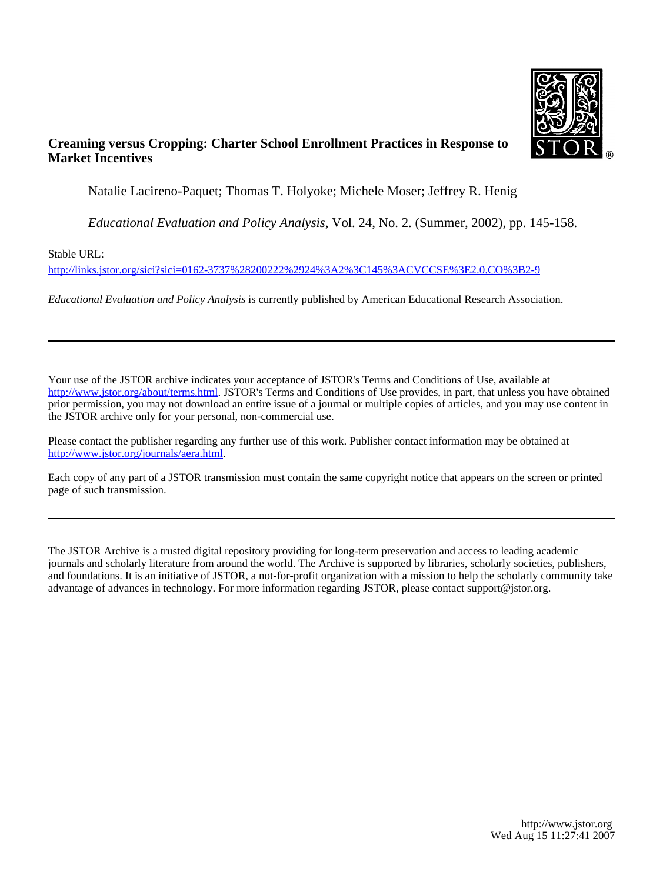

### **Creaming versus Cropping: Charter School Enrollment Practices in Response to Market Incentives**

Natalie Lacireno-Paquet; Thomas T. Holyoke; Michele Moser; Jeffrey R. Henig

*Educational Evaluation and Policy Analysis*, Vol. 24, No. 2. (Summer, 2002), pp. 145-158.

Stable URL:

<http://links.jstor.org/sici?sici=0162-3737%28200222%2924%3A2%3C145%3ACVCCSE%3E2.0.CO%3B2-9>

*Educational Evaluation and Policy Analysis* is currently published by American Educational Research Association.

Your use of the JSTOR archive indicates your acceptance of JSTOR's Terms and Conditions of Use, available at [http://www.jstor.org/about/terms.html.](http://www.jstor.org/about/terms.html) JSTOR's Terms and Conditions of Use provides, in part, that unless you have obtained prior permission, you may not download an entire issue of a journal or multiple copies of articles, and you may use content in the JSTOR archive only for your personal, non-commercial use.

Please contact the publisher regarding any further use of this work. Publisher contact information may be obtained at <http://www.jstor.org/journals/aera.html>.

Each copy of any part of a JSTOR transmission must contain the same copyright notice that appears on the screen or printed page of such transmission.

The JSTOR Archive is a trusted digital repository providing for long-term preservation and access to leading academic journals and scholarly literature from around the world. The Archive is supported by libraries, scholarly societies, publishers, and foundations. It is an initiative of JSTOR, a not-for-profit organization with a mission to help the scholarly community take advantage of advances in technology. For more information regarding JSTOR, please contact support@jstor.org.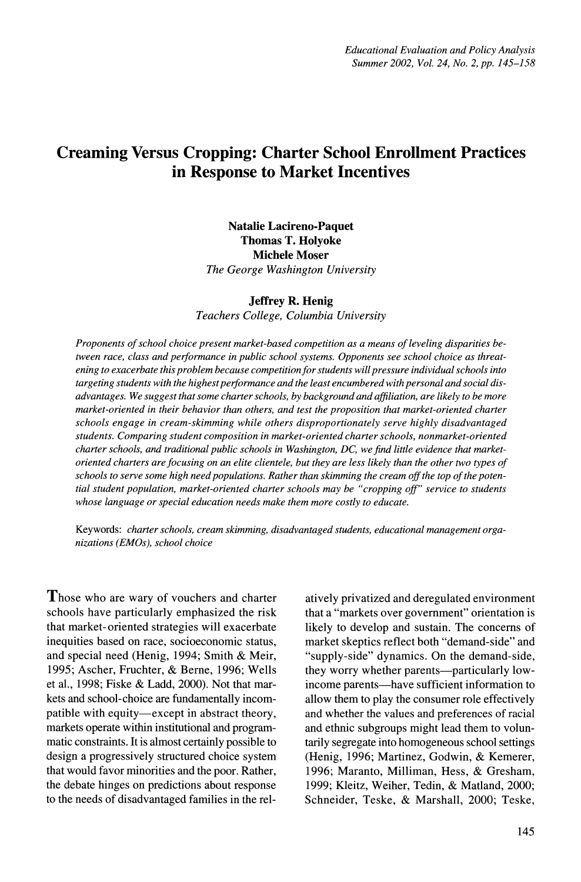## **Creaming Versus Cropping: Charter School Enrollment Practices in Response to Market Incentives**

#### **Natalie Lacireno-Paquet Thomas T. Holyoke Michele Moser** *The George Washington University*

#### **Jeffrey R. Henig**

*Teachers College, Columbia University* 

*Proponents of school choice present market-based competition as a means of leveling disparities between race, class and performance in public school systems. Opponents see school choice as threat*ening to exacerbate this problem because competition for students will pressure individual schools into targeting students with the highest performance and the least encumbered with personal and social dis*advantages. We suggest that some charter schools, by background and afJiliation, are likely to be more market-oriented in their behavior than others, and test the proposition that market-oriented charter schools engage in cream-skimming while others disproportionately serve highly disadvantaged students. Comparing student composition in market-oriented charter schools, nonmarket-oriented charter schools, and traditional public schools in Washington, DC, we \$nd little evidence that marketoriented charters are focusing on an elite clientele, but they are less likely than the other two Vpes of*  schools to serve some high need populations. Rather than skimming the cream off the top of the poten*tial student population, market-oriented charter schools may be "cropping off" service to students whose language or special education needs make them more costly to educate.* 

Keywords: *charter schools, cream skimming, disadvantaged students, educational management organizations (EMOs), school choice* 

Those who are wary of vouchers and charter atively privatized and deregulated environment schools have particularly emphasized the risk that a "markets over government" orientation is that market- oriented strategies will exacerbate likely to develop and sustain. The concerns of inequities based on race, socioeconomic status, market skeptics reflect both "demand-side" and and special need (Henig, 1994; Smith & Meir, "supply-side" dynamics. On the demand-side, 1995; Ascher, Fruchter, & Berne, 1996; Wells they worry whether parents-particularly lowet al., 1998; Fiske & Ladd, 2000). Not that mar- income parents-have sufficient information to kets and school-choice are fundamentally incom- allow them to play the consumer role effectively patible with equity-except in abstract theory, and whether the values and preferences of racial markets operate within institutional and program- and ethnic subgroups might lead them to volunmatic constraints. It is almost certainly possible to tarily segregate into homogeneous school settings design a progressively structured choice system (Henig, 1996; Martinez, Godwin, & Kemerer, that would favor minorities and the poor. Rather, 1996; Maranto, Milliman, Hess, & Gresham, the debate hinges on predictions about response 1999; Kleitz, Weiher, Tedin, & Matland, 2000; to the needs of disadvantaged families in the rel- Schneider, Teske, & Marshall, 2000; Teske,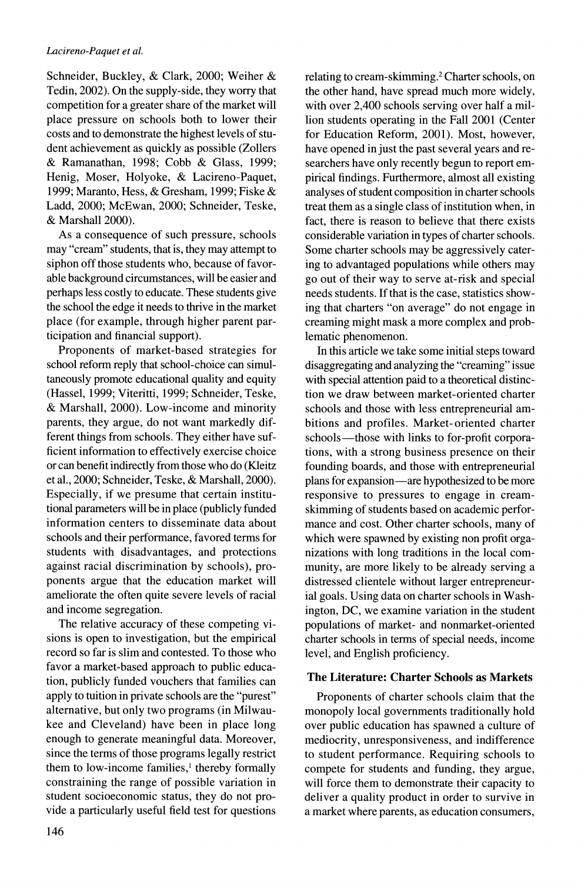Schneider, Buckley, & Clark, 2000; Weiher & Tedin, 2002). On the supply-side, they worry that competition for a greater share of the market will place pressure on schools both to lower their costs and to demonstrate the highest levels of student achievement as quickly as possible (Zollers & Ramanathan, 1998; Cobb & Glass, 1999; Henig, Moser, Holyoke, & Lacireno-Paquet, 1999; Maranto, Hess, & Gresham, 1999; Fiske & Ladd, 2000; McEwan, 2000; Schneider, Teske, & Marshall 2000).

As a consequence of such pressure, schools may "cream" students, that is, they may attempt to siphon off those students who, because of favorable background circumstances, will be easier and perhaps less costly to educate. These students give the school the edge it needs to thrive in the market place (for example, through higher parent participation and financial support).

Proponents of market-based strategies for school reform reply that school-choice can simultaneously promote educational quality and equity (Hassel, 1999; Viteritti, 1999; Schneider, Teske, & Marshall, 2000). Low-income and minority parents, they argue, do not want markedly different things from schools. They either have sufficient information to effectively exercise choice or can benefit indirectly from those who do (Kleitz et al., 2000; Schneider, Teske, & Marshall, 2000). Especially, if we presume that certain institutional parameters will be in place (publicly funded information centers to disseminate data about schools and their performance, favored terms for students with disadvantages, and protections against racial discrimination by schools), proponents argue that the education market will ameliorate the often quite severe levels of racial and income segregation.

The relative accuracy of these competing visions is open to investigation, but the empirical record so far is slim and contested. To those who favor a market-based approach to public education, publicly funded vouchers that families can apply to tuition in private schools are the "purest" alternative, but only two programs (in Milwaukee and Cleveland) have been in place long enough to generate meaningful data. Moreover, since the terms of those programs legally restrict them to low-income families,<sup>1</sup> thereby formally constraining the range of possible variation in student socioeconomic status, they do not provide a particularly useful field test for questions

relating to cream-skimming.<sup>2</sup> Charter schools, on the other hand, have spread much more widely, with over 2,400 schools serving over half a million students operating in the Fall 2001 (Center for Education Reform, 2001). Most, however, have opened in just the past several years and researchers have only recently begun to report empirical findings. Furthermore, almost all existing analyses of student composition in charter schools treat them as a single class of institution when, in fact, there is reason to believe that there exists considerable variation in types of charter schools. Some charter schools may be aggressively catering to advantaged populations while others may go out of their way to serve at-risk and special needs students. If that is the case, statistics showing that charters "on average" do not engage in creaming might mask a more complex and problematic phenomenon.

In this article we take some initial steps toward disaggregating and analyzing the "creaming" issue with special attention paid to a theoretical distinction we draw between market-oriented charter schools and those with less entrepreneurial ambitions and profiles. Market-oriented charter schools-those with links to for-profit corporations, with a strong business presence on their founding boards, and those with entrepreneurial plans for expansion-are hypothesized to be more responsive to pressures to engage in creamskimming of students based on academic performance and cost. Other charter schools, many of which were spawned by existing non profit organizations with long traditions in the local community, are more likely to be already serving a distressed clientele without larger entrepreneurial goals. Using data on charter schools in Washington, DC, we examine variation in the student populations of market- and nonmarket-oriented charter schools in terms of special needs, income level, and English proficiency.

#### **The Literature: Charter Schools as Markets**

Proponents of charter schools claim that the monopoly local governments traditionally hold over public education has spawned a culture of mediocrity, unresponsiveness, and indifference to student performance. Requiring schools to compete for students and funding, they argue, will force them to demonstrate their capacity to deliver a quality product in order to survive in a market where parents, as education consumers,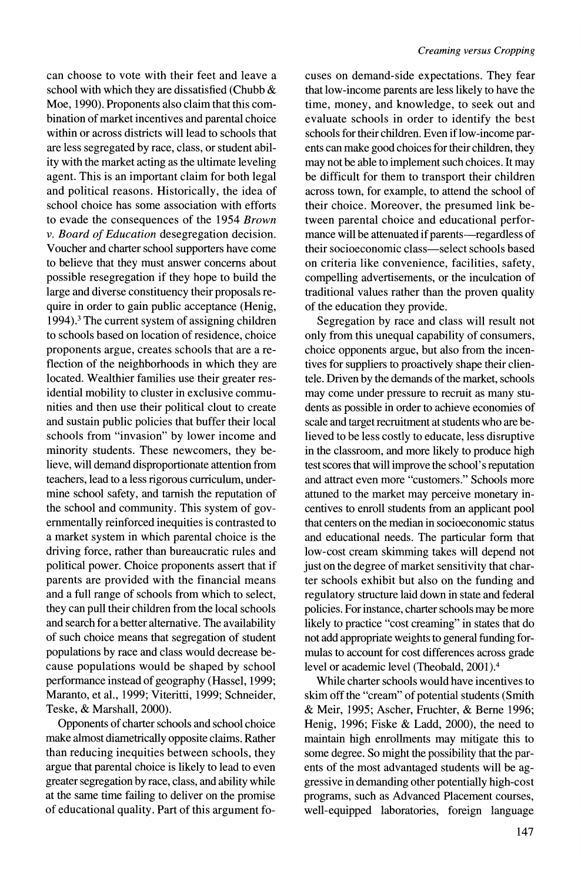can choose to vote with their feet and leave a school with which they are dissatisfied (Chubb & Moe, 1990). Proponents also claim that this combination of market incentives and parental choice within or across districts will lead to schools that are less segregated by race, class, or student ability with the market acting as the ultimate leveling agent. This is an important claim for both legal and political reasons. Historically, the idea of school choice has some association with efforts to evade the consequences of the 1954 *Brown*  v. *Board of Education* desegregation decision. Voucher and charter school supporters have come to believe that they must answer concerns about possible resegregation if they hope to build the large and diverse constituency their proposals require in order to gain public acceptance (Henig, 1994).3 The current system of assigning children to schools based on location of residence, choice proponents argue, creates schools that are a reflection of the neighborhoods in which they are located. Wealthier families use their greater residential mobility to cluster in exclusive communities and then use their political clout to create and sustain public policies that buffer their local schools from "invasion" by lower income and minority students. These newcomers, they believe, will demand disproportionate attention from teachers, lead to a less rigorous curriculum, undermine school safety, and tarnish the reputation of the school and community. This system of governmentally reinforced inequities is contrasted to a market system in which parental choice is the driving force, rather than bureaucratic rules and political power. Choice proponents assert that if parents are provided with the financial means and a full range of schools from which to select, they can pull their children from the local schools and search for a better alternative. The availability of such choice means that segregation of student populations by race and class would decrease because populations would be shaped by school performance instead of geography (Hassel, 1999; Maranto, et al., 1999; Viteritti, 1999; Schneider, Teske, & Marshall, 2000).

Opponents of charter schools and school choice make almost diametrically opposite claims. Rather than reducing inequities between schools, they argue that parental choice is likely to lead to even greater segregation by race, class, and ability while at the same time failing to deliver on the promise of educational quality. Part of this argument fo-

cuses on demand-side expectations. They fear that low-income parents are less likely to have the time, money, and knowledge, to seek out and evaluate schools in order to identify the best schools for their children. Even if low-income parents can make good choices for their children, they may not be able to implement such choices. It may be difficult for them to transport their children across town, for example, to attend the school of their choice. Moreover, the presumed link between parental choice and educational performance will be attenuated if parents-regardless of their socioeconomic class-select schools based on criteria like convenience, facilities, safety, compelling advertisements, or the inculcation of traditional values rather than the proven quality of the education they provide.

Segregation by race and class will result not only from this unequal capability of consumers, choice opponents argue, but also from the incentives for suppliers to proactively shape their clientele. Driven by the demands of the market, schools may come under pressure to recruit as many students as possible in order to achieve economies of scale and target recruitment at students who are believed to be less costly to educate, less disruptive in the classroom, and more likely to produce high test scores that will improve the school's reputation and attract even more "customers." Schools more attuned to the market may perceive monetary incentives to enroll students from an applicant pool that centers on the median in socioeconomic status and educational needs. The particular form that low-cost cream skimming takes will depend not just on the degree of market sensitivity that charter schools exhibit but also on the funding and regulatory structure laid down in state and federal policies. For instance, charter schools may be more likely to practice "cost creaming" in states that do not add appropriate weights to general funding formulas to account for cost differences across grade level or academic level (Theobald, 2001).4

While charter schools would have incentives to skim off the "cream" of potential students (Smith & Meir, 1995; Ascher, Fmchter, & Berne 1996; Henig, 1996; Fiske & Ladd, 2000), the need to maintain high enrollments may mitigate this to some degree. So might the possibility that the parents of the most advantaged students will be aggressive in demanding other potentially high-cost programs, such as Advanced Placement courses, well-equipped laboratories, foreign language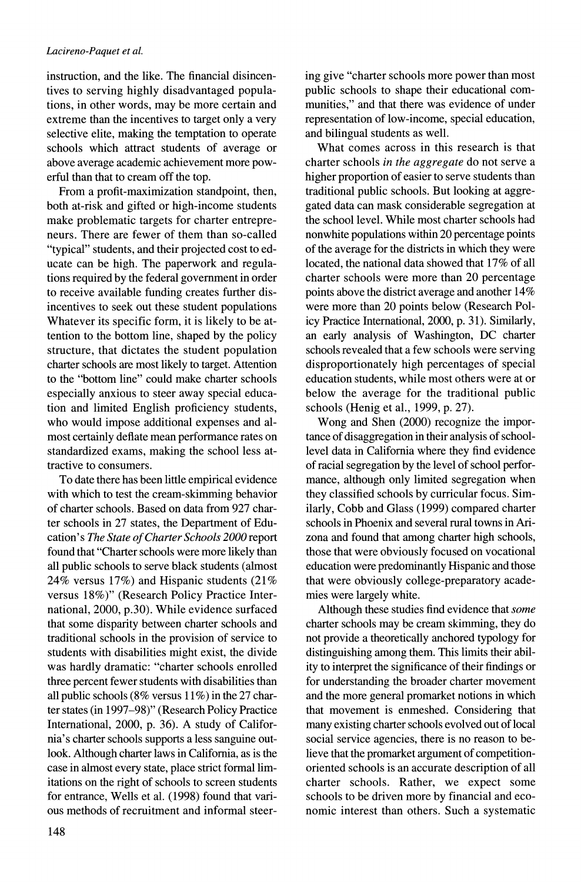instruction, and the like. The financial disincentives to serving highly disadvantaged populations, in other words, may be more certain and extreme than the incentives to target only a very selective elite, making the temptation to operate schools which attract students of average or above average academic achievement more powerful than that to cream off the top.

From a profit-maximization standpoint, then, both at-risk and gifted or high-income students make problematic targets for charter entrepreneurs. There are fewer of them than so-called "typical" students, and their projected cost to educate can be high. The paperwork and regulations required by the federal government in order to receive available funding creates further disincentives to seek out these student populations Whatever its specific form, it is likely to be attention to the bottom line, shaped by the policy structure, that dictates the student population charter schools are most likely to target. Attention to the "bottom line" could make charter schools especially anxious to steer away special education and limited English proficiency students, who would impose additional expenses and almost certainly deflate mean performance rates on standardized exams, making the school less attractive to consumers.

To date there has been little empirical evidence with which to test the cream-skimming behavior of charter schools. Based on data from 927 charter schools in 27 states, the Department of Education's *The State of Charter Schools 2000* report found that "Charter schools were more likely than all public schools to serve black students (almost 24% versus 17%) and Hispanic students (21% versus 18%)" (Research Policy Practice International, 2000, p.30). While evidence surfaced that some disparity between charter schools and traditional schools in the provision of service to students with disabilities might exist, the divide was hardly dramatic: "charter schools enrolled three percent fewer students with disabilities than all public schools (8% versus 11%) in the 27 charter states (in 1997-98)" (Research Policy Practice International, 2000, p. 36). A study of California's charter schools supports a less sanguine outlook. Although charter laws in California, as is the case in almost every state, place strict formal limitations on the right of schools to screen students for entrance, Wells et al. (1998) found that various methods of recruitment and informal steering give "charter schools more power than most public schools to shape their educational communities," and that there was evidence of under representation of low-income, special education, and bilingual students as well.

What comes across in this research is that charter schools *in the aggregate* do not serve a higher proportion of easier to serve students than traditional public schools. But looking at aggregated data can mask considerable segregation at the school level. While most charter schools had nonwhite populations within 20 percentage points of the average for the districts in which they were located, the national data showed that 17% of all charter schools were more than 20 percentage points above the district average and another 14% were more than 20 points below (Research Policy Practice International, 2000, p. 3l). Similarly, an early analysis of Washington, DC charter schools revealed that a few schools were serving disproportionately high percentages of special education students, while most others were at or below the average for the traditional public schools (Henig et al., 1999, p. 27).

Wong and Shen (2000) recognize the importance of disaggregation in their analysis of schoollevel data in California where they find evidence of racial segregation by the level of school performance, although only limited segregation when they classified schools by curricular focus. Similarly, Cobb and Glass (1999) compared charter schools in Phoenix and several rural towns in **Ari**zona and found that among charter high schools, those that were obviously focused on vocational education were predominantly Hispanic and those that were obviously college-preparatory academies were largely white.

Although these studies find evidence that *some*  charter schools may be cream skimming, they do not provide a theoretically anchored typology for distinguishing among them. This limits their ability to interpret the significance of their findings or for understanding the broader charter movement and the more general promarket notions in which that movement is enmeshed. Considering that many existing charter schools evolved out of local social service agencies, there is no reason to believe that the promarket argument of competitionoriented schools is an accurate description of all charter schools. Rather, we expect some schools to be driven more by financial and economic interest than others. Such a systematic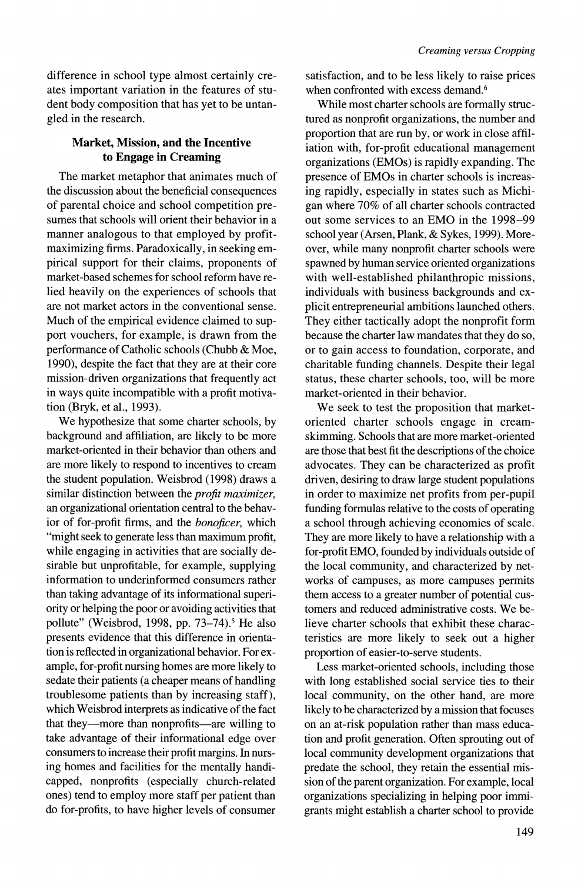difference in school type almost certainly creates important variation in the features of student body composition that has yet to be untangled in the research.

#### **Market, Mission, and the Incentive to Engage in Creaming**

The market metaphor that animates much of the discussion about the beneficial consequences of parental choice and school competition presumes that schools will orient their behavior in a manner analogous to that employed by profitmaximizing firms. Paradoxically, in seeking empirical support for their claims, proponents of market-based schemes for school reform have relied heavily on the experiences of schools that are not market actors in the conventional sense. Much of the empirical evidence claimed to support vouchers, for example, is drawn from the performance of Catholic schools (Chubb & Moe, 1990), despite the fact that they are at their core mission-driven organizations that frequently act in ways quite incompatible with a profit motivation (Bryk, et al., 1993).

We hypothesize that some charter schools, by background and affiliation, are likely to be more market-oriented in their behavior than others and are more likely to respond to incentives to cream the student population. Weisbrod (1998) draws a similar distinction between the *projit maximizer,*  an organizational orientation central to the behavior of for-profit firms, and the *bonojicer,* which "might seek to generate less than maximum profit, while engaging in activities that are socially desirable but unprofitable, for example, supplying information to underinformed consumers rather than taking advantage of its informational superiority or helping the poor or avoiding activities that pollute" (Weisbrod, 1998, pp. 73-74).<sup>5</sup> He also presents evidence that this difference in orientation is reflected in organizational behavior. For example, for-profit nursing homes are more likely to sedate their patients (a cheaper means of handling troublesome patients than by increasing staff), which Weisbrod interprets as indicative of the fact that they-more than nonprofits-are willing to take advantage of their informational edge over consumers to increase their profit margins. In nursing homes and facilities for the mentally handicapped, nonprofits (especially church-related ones) tend to employ more staff per patient than do for-profits, to have higher levels of consumer satisfaction, and to be less likely to raise prices when confronted with excess demand.<sup>6</sup>

While most charter schools are formally structured as nonprofit organizations, the number and proportion that are run by, or work in close affiliation with, for-profit educational management organizations (EMOs) is rapidly expanding. The presence of EMOs in charter schools is increasing rapidly, especially in states such as Michigan where 70% of all charter schools contracted out some services to an EM0 in the 1998-99 school year (Arsen, Plank, & Sykes, 1999). Moreover, while many nonprofit charter schools were spawned by human service oriented organizations with well-established philanthropic missions, individuals with business backgrounds and explicit entrepreneurial ambitions launched others. They either tactically adopt the nonprofit form because the charter law mandates that they do so, or to gain access to foundation, corporate, and charitable funding channels. Despite their legal status, these charter schools, too, will be more market-oriented in their behavior.

We seek to test the proposition that marketoriented charter schools engage in creamskimming. Schools that are more market-oriented are those that best fit the descriptions of the choice advocates. They can be characterized as profit driven, desiring to draw large student populations in order to maximize net profits from per-pupil funding formulas relative to the costs of operating a school through achieving economies of scale. They are more likely to have a relationship with a for-profit EMO, founded by individuals outside of the local community, and characterized by networks of campuses, as more campuses permits them access to a greater number of potential customers and reduced administrative costs. We believe charter schools that exhibit these characteristics are more likely to seek out a higher proportion of easier-to-serve students.

Less market-oriented schools, including those with long established social service ties to their local community, on the other hand, are more likely to be characterized by a mission that focuses on an at-risk population rather than mass education and profit generation. Often sprouting out of local community development organizations that predate the school, they retain the essential mission of the parent organization. For example, local organizations specializing in helping poor immigrants might establish a charter school to provide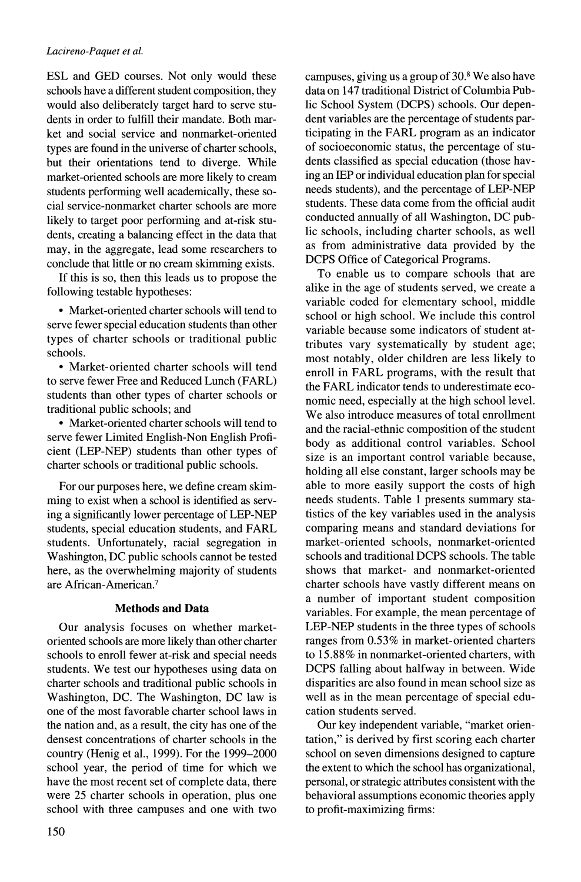ESL and GED courses. Not only would these schools have a different student composition, they would also deliberately target hard to serve students in order to fulfill their mandate. Both market and social service and nonmarket-oriented types are found in the universe of charter schools, but their orientations tend to diverge. While market-oriented schools are more likely to cream students performing well academically, these social service-nonmarket charter schools are more likely to target poor performing and at-risk students, creating a balancing effect in the data that may, in the aggregate, lead some researchers to conclude that little or no cream skimming exists.

If this is so, then this leads us to propose the following testable hypotheses:

Market-oriented charter schools will tend to serve fewer special education students than other types of charter schools or traditional public schools.

Market-oriented charter schools will tend to serve fewer Free and Reduced Lunch (FARL) students than other types of charter schools or traditional public schools; and

Market-oriented charter schools will tend to serve fewer Limited English-Non English Proficient (LEP-NEP) students than other types of charter schools or traditional public schools.

For our purposes here, we define cream skimming to exist when a school is identified as serving a significantly lower percentage of LEP-NEP students, special education students, and FARL students. Unfortunately, racial segregation in Washington, DC public schools cannot be tested here, as the overwhelming majority of students are African-American.<sup>7</sup>

#### **Methods and Data**

Our analysis focuses on whether marketoriented schools are more likely than other charter schools to enroll fewer at-risk and special needs students. We test our hypotheses using data on charter schools and traditional public schools in Washington, DC. The Washington, DC law is one of the most favorable charter school laws in the nation and, as a result, the city has one of the densest concentrations of charter schools in the country (Henig et al., 1999). For the 1999-2000 school year, the period of time for which we have the most recent set of complete data, there were 25 charter schools in operation, plus one school with three campuses and one with two

campuses, giving us a group of 30.8We also have data on 147 traditional District of Columbia Public School System (DCPS) schools. Our dependent variables are the percentage of students participating in the FARL program as an indicator of socioeconomic status, the percentage of students classified as special education (those having an IEP or individual education plan for special needs students), and the percentage of LEP-NEP students. These data come from the official audit conducted annually of all Washington, DC public schools, including charter schools, as well as from administrative data provided by the DCPS Office of Categorical Programs.

To enable us to compare schools that are alike in the age of students served, we create a variable coded for elementary school, middle school or high school. We include this control variable because some indicators of student attributes vary systematically by student age; most notably, older children are less likely to enroll in FARL programs, with the result that the FARL indicator tends to underestimate economic need, especially at the high school level. We also introduce measures of total enrollment and the racial-ethnic composition of the student body as additional control variables. School size is an important control variable because, holding all else constant, larger schools may be able to more easily support the costs of high needs students. Table 1 presents summary statistics of the key variables used in the analysis comparing means and standard deviations for market-oriented schools, nonmarket-oriented schools and traditional DCPS schools. The table shows that market- and nonmarket-oriented charter schools have vastly different means on a number of important student composition variables. For example, the mean percentage of LEP-NEP students in the three types of schools ranges from 0.53% in market-oriented charters to 15.88% in nonmarket-oriented charters, with DCPS falling about halfway in between. Wide disparities are also found in mean school size as well as in the mean percentage of special education students served.

Our key independent variable, "market orientation," is derived by first scoring each charter school on seven dimensions designed to capture the extent to which the school has organizational, personal, or strategic attributes consistent with the behavioral assumptions economic theories apply to profit-maximizing firms: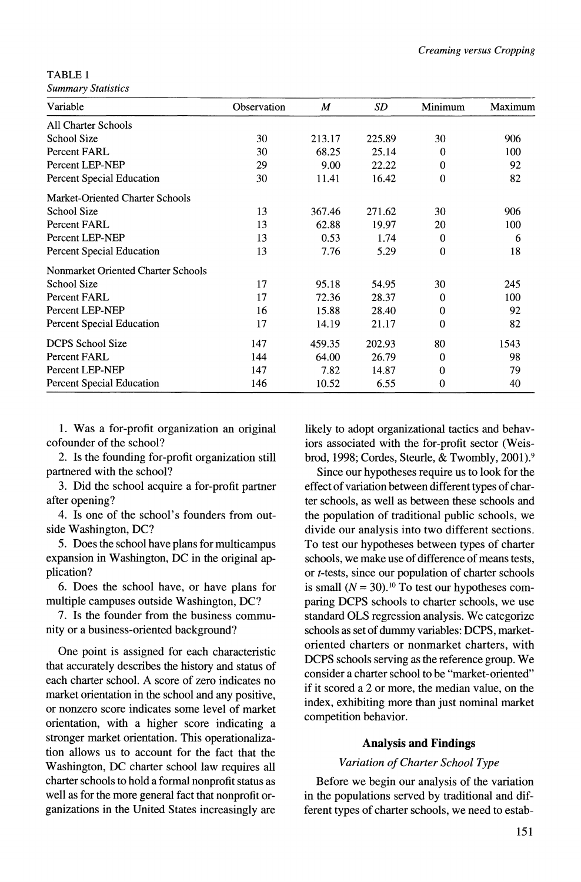TABLE 1 *Summary Statistics* 

| Variable                           | Observation | $\boldsymbol{M}$ | SD     | Minimum          | Maximum |
|------------------------------------|-------------|------------------|--------|------------------|---------|
| <b>All Charter Schools</b>         |             |                  |        |                  |         |
| School Size                        | 30          | 213.17           | 225.89 | 30               | 906     |
| <b>Percent FARL</b>                | 30          | 68.25            | 25.14  | $\Omega$         | 100     |
| Percent LEP-NEP                    | 29          | 9.00             | 22.22  | $\overline{0}$   | 92      |
| Percent Special Education          | 30          | 11.41            | 16.42  | $\mathbf{0}$     | 82      |
| Market-Oriented Charter Schools    |             |                  |        |                  |         |
| School Size                        | 13          | 367.46           | 271.62 | 30               | 906     |
| Percent FARL                       | 13          | 62.88            | 19.97  | 20               | 100     |
| Percent LEP-NEP                    | 13          | 0.53             | 1.74   | $\mathbf 0$      | 6       |
| <b>Percent Special Education</b>   | 13          | 7.76             | 5.29   | $\mathbf{0}$     | 18      |
| Nonmarket Oriented Charter Schools |             |                  |        |                  |         |
| School Size                        | 17          | 95.18            | 54.95  | 30               | 245     |
| Percent FARL                       | 17          | 72.36            | 28.37  | $\theta$         | 100     |
| Percent LEP-NEP                    | 16          | 15.88            | 28.40  | $\bf{0}$         | 92      |
| <b>Percent Special Education</b>   | 17          | 14.19            | 21.17  | $\mathbf{0}$     | 82      |
| <b>DCPS</b> School Size            | 147         | 459.35           | 202.93 | 80               | 1543    |
| Percent FARL                       | 144         | 64.00            | 26.79  | $\Omega$         | 98      |
| Percent LEP-NEP                    | 147         | 7.82             | 14.87  | $\boldsymbol{0}$ | 79      |
| Percent Special Education          | 146         | 10.52            | 6.55   | 0                | 40      |

1. Was a for-profit organization an original cofounder of the school?

2. Is the founding for-profit organization still partnered with the school?

3. Did the school acquire a for-profit partner after opening?

4. Is one of the school's founders from outside Washington, DC?

5. Does the school have plans for multicampus expansion in Washington, DC in the original application?

6. Does the school have, or have plans for multiple campuses outside Washington, DC?

7. Is the founder from the business community or a business-oriented background?

One point is assigned for each characteristic that accurately describes the history and status of each charter school. A score of zero indicates no market orientation in the school and any positive, or nonzero score indicates some level of market orientation, with a higher score indicating a stronger market orientation. This operationalization allows us to account for the fact that the Washington, DC charter school law requires all charter schools to hold a formal nonprofit status as well as for the more general fact that nonprofit organizations in the United States increasingly are

likely to adopt organizational tactics and behaviors associated with the for-profit sector (Weisbrod, 1998; Cordes, Steurle, & Twombly, 2001).<sup>9</sup>

Since our hypotheses require us to look for the effect of variation between different types of charter schools, as well as between these schools and the population of traditional public schools, we divide our analysis into two different sections. To test our hypotheses between types of charter schools, we make use of difference of means tests, or t-tests, since our population of charter schools is small  $(N = 30)$ .<sup>10</sup> To test our hypotheses comparing DCPS schools to charter schools, we use standard OLS regression analysis. We categorize schools as set of dummy variables: DCPS, marketoriented charters or nonmarket charters, with DCPS schools serving as the reference group. We consider a charter school to be "market-oriented" if it scored a 2 or more, the median value, on the index, exhibiting more than just nominal market competition behavior.

#### **Analysis and Findings**

#### Variation *of* Charter *School* Type

Before we begin our analysis of the variation in the populations served by traditional and different types of charter schools, we need to estab-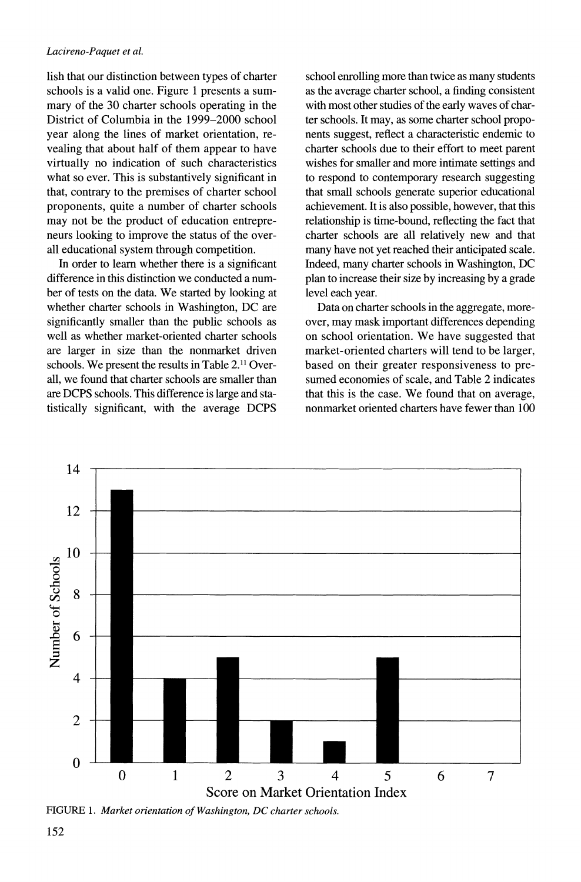lish that our distinction between types of charter schools is a valid one. Figure 1 presents a summary of the 30 charter schools operating in the District of Columbia in the 1999-2000 school year along the lines of market orientation, revealing that about half of them appear to have virtually no indication of such characteristics what so ever. This is substantively significant in that, contrary to the premises of charter school proponents, quite a number of charter schools may not be the product of education entrepreneurs looking to improve the status of the overall educational system through competition.

In order to learn whether there is a significant difference in this distinction we conducted a number of tests on the data. We started by looking at whether charter schools in Washington, DC are significantly smaller than the public schools as well as whether market-oriented charter schools are larger in size than the nonmarket driven schools. We present the results in Table 2.<sup>11</sup> Overall, we found that charter schools are smaller than are DCPS schools. This difference is large and statistically significant, with the average DCPS

school enrolling more than twice as many students as the average charter school, a finding consistent with most other studies of the early waves of charter schools. It may, as some charter school proponents suggest, reflect a characteristic endemic to charter schools due to their effort to meet parent wishes for smaller and more intimate settings and to respond to contemporary research suggesting that small schools generate superior educational achievement. It is also possible, however, that this relationship is time-bound, reflecting the fact that charter schools are all relatively new and that many have not yet reached their anticipated scale. Indeed, many charter schools in Washington, DC plan to increase their size by increasing by a grade level each year.

Data on charter schools in the aggregate, moreover, may mask important differences depending on school orientation. We have suggested that market-oriented charters will tend to be larger, based on their greater responsiveness to presumed economies of scale, and Table 2 indicates that this is the case. We found that on average, nonmarket oriented charters have fewer than 100



*FIGURE* 1. *Market orientation of Washington, DC charter schools.* 

152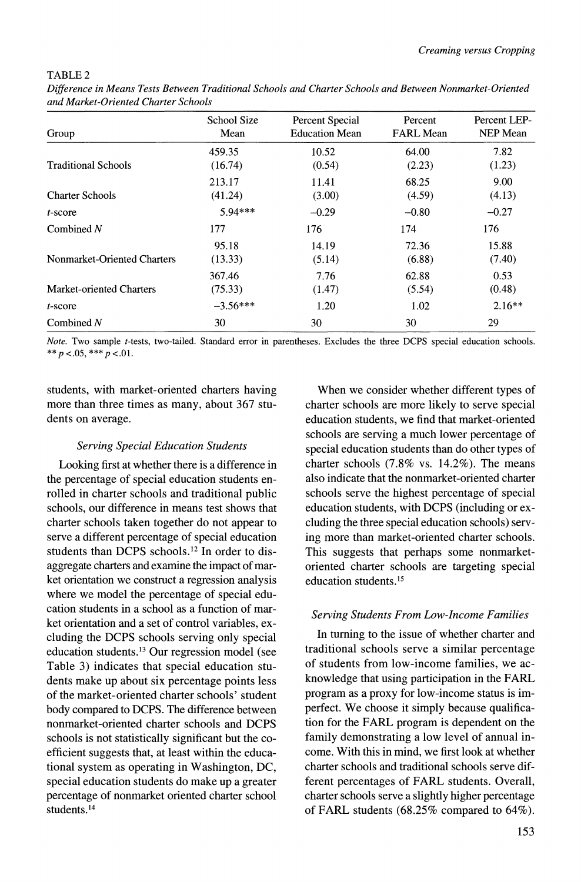#### *TABLE 2*

| Group                       | School Size | Percent Special       | Percent          | Percent LEP-    |
|-----------------------------|-------------|-----------------------|------------------|-----------------|
|                             | Mean        | <b>Education Mean</b> | <b>FARL Mean</b> | <b>NEP</b> Mean |
| <b>Traditional Schools</b>  | 459.35      | 10.52                 | 64.00            | 7.82            |
|                             | (16.74)     | (0.54)                | (2.23)           | (1.23)          |
| <b>Charter Schools</b>      | 213.17      | 11.41                 | 68.25            | 9.00            |
|                             | (41.24)     | (3.00)                | (4.59)           | (4.13)          |
| $t$ -score                  | $5.94***$   | $-0.29$               | $-0.80$          | $-0.27$         |
| Combined $N$                | 177         | 176                   | 174              | 176             |
| Nonmarket-Oriented Charters | 95.18       | 14.19                 | 72.36            | 15.88           |
|                             | (13.33)     | (5.14)                | (6.88)           | (7.40)          |
| Market-oriented Charters    | 367.46      | 7.76                  | 62.88            | 0.53            |
|                             | (75.33)     | (1.47)                | (5.54)           | (0.48)          |
| $t$ -score                  | $-3.56***$  | 1.20                  | 1.02             | $2.16**$        |
| Combined $N$                | 30          | 30                    | 30               | 29              |

*Difference in Means Tests Between Traditional Schools and Charter Schools and Between Nonmarket-Oriented and Market-Oriented Charter Schools* 

*Note.* Two sample t-tests, two-tailed. Standard error in parentheses. Excludes the three DCPS special education schools. *\*\*p<.05, \*\*\*p*<.01.

students, with market-oriented charters having more than three times as many, about 367 students on average.

#### *Sewing Special Education Students*

Looking first at whether there is a difference in the percentage of special education students enrolled in charter schools and traditional public schools, our difference in means test shows that charter schools taken together do not appear to serve a different percentage of special education students than DCPS schools.<sup>12</sup> In order to disaggregate charters and examine the impact of market orientation we construct a regression analysis where we model the percentage of special education students in a school as a function of market orientation and a set of control variables, excluding the DCPS schools serving only special education students.13 Our regression model (see Table 3) indicates that special education students make up about six percentage points less of the market-oriented charter schools' student body compared to DCPS. The difference between nonmarket-oriented charter schools and DCPS schools is not statistically significant but the coefficient suggests that, at least within the educational system as operating in Washington, DC, special education students do make up a greater percentage of nonmarket oriented charter school students.14

When we consider whether different types of charter schools are more likely to serve special education students, we find that market-oriented schools are serving a much lower percentage of special education students than do other types of charter schools (7.8% vs. 14.2%). The means also indicate that the nonmarket-oriented charter schools serve the highest percentage of special education students, with DCPS (including or excluding the three special education schools) serving more than market-oriented charter schools. This suggests that perhaps some nonmarketoriented charter schools are targeting special education students.15

#### *Sewing Students From Low-lncome Families*

In turning to the issue of whether charter and traditional schools serve a similar percentage of students from low-income families, we acknowledge that using participation in the FARL program as a proxy for low-income status is imperfect. We choose it simply because qualification for the FARL program is dependent on the family demonstrating a low level of annual income. With this in mind, we first look at whether charter schools and traditional schools serve different percentages of FARL students. Overall, charter schools serve a slightly higher percentage of FARL students (68.25% compared to 64%).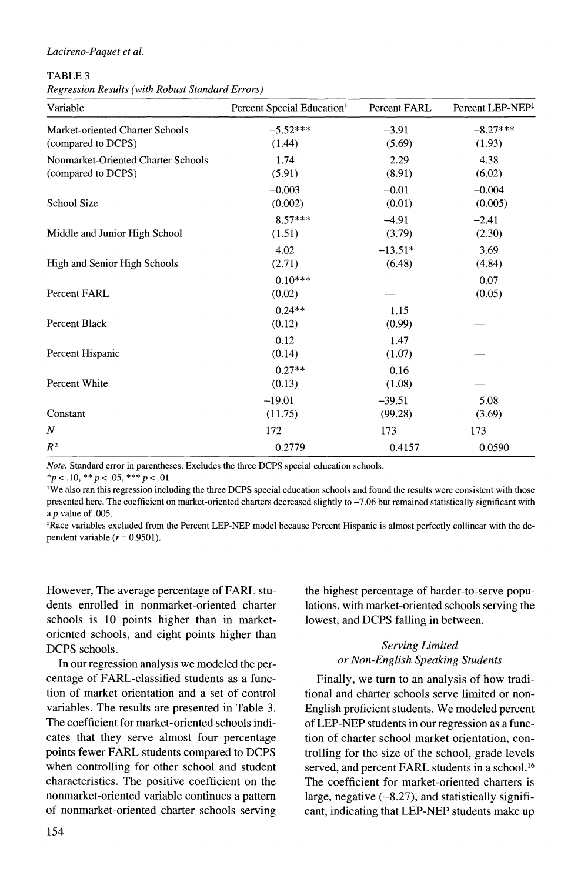TABLE 3

*Regression Results (with Robust Standard Errors)* 

| Variable                                                 | Percent Special Education <sup>+</sup> | Percent FARL        | Percent LEP-NEP <sup>#</sup> |
|----------------------------------------------------------|----------------------------------------|---------------------|------------------------------|
| Market-oriented Charter Schools<br>(compared to DCPS)    | $-5.52***$<br>(1.44)                   | $-3.91$<br>(5.69)   | $-8.27***$<br>(1.93)         |
| Nonmarket-Oriented Charter Schools<br>(compared to DCPS) | 1.74<br>(5.91)                         | 2.29<br>(8.91)      | 4.38<br>(6.02)               |
| <b>School Size</b>                                       | $-0.003$<br>(0.002)                    | $-0.01$<br>(0.01)   | $-0.004$<br>(0.005)          |
| Middle and Junior High School                            | $8.57***$<br>(1.51)                    | $-4.91$<br>(3.79)   | $-2.41$<br>(2.30)            |
| High and Senior High Schools                             | 4.02<br>(2.71)                         | $-13.51*$<br>(6.48) | 3.69<br>(4.84)               |
| Percent FARL                                             | $0.10***$<br>(0.02)                    |                     | 0.07<br>(0.05)               |
| Percent Black                                            | $0.24**$<br>(0.12)                     | 1.15<br>(0.99)      |                              |
| Percent Hispanic                                         | 0.12<br>(0.14)                         | 1.47<br>(1.07)      |                              |
| Percent White                                            | $0.27**$<br>(0.13)                     | 0.16<br>(1.08)      |                              |
| Constant                                                 | $-19.01$<br>(11.75)                    | $-39.51$<br>(99.28) | 5.08<br>(3.69)               |
| $\boldsymbol{N}$                                         | 172                                    | 173                 | 173                          |
| $R^2$                                                    | 0.2779                                 | 0.4157              | 0.0590                       |

*Note.* Standard error in parentheses. Excludes the three DCPS special education schools.

*\*p<* .lo, *\*\*p< .05, \*\*\*p<* .01

'We also ran this regression including the three DCPS special education schools and found the results were consistent with those presented here. The coefficient on market-oriented charters decreased slightly to -7.06 but remained statistically significant with a *p* value of ,005.

\*Race variables excluded from the Percent LEP-NEP model because Percent Hispanic is almost perfectly collinear with the dependent variable  $(r = 0.9501)$ .

However, The average percentage of FARL stu-<br>the highest percentage of harder-to-serve popudents enrolled in nonmarket-oriented charter lations, with market-oriented schools serving the schools is 10 points higher than in market-<br>lowest, and DCPS falling in between. oriented schools, and eight points higher than

In our regression analysis we modeled the percentage of FARL-classified students as a func-<br>Finally, we turn to an analysis of how tradition of market orientation and a set of control tional and charter schools serve limited or nonvariables. The results are presented in Table 3. English proficient students. We modeled percent The coefficient for market-oriented schools indi- of LEP-NEP students in our regression as a funccates that they serve almost four percentage tion of charter school market orientation, con-<br>points fewer FARL students compared to DCPS trolling for the size of the school, grade levels when controlling for other school and student served, and percent FARL students in a school.<sup>16</sup> characteristics. The positive coefficient on the The coefficient for market-oriented charters is nonmarket-oriented variable continues a pattern large, negative  $(-8.27)$ , and statistically signifiof nonmarket-oriented charter schools serving cant, indicating that LEP-NEP students make up

# DCPS schools.<br> **Serving Limited**<br> **Serving Limited**<br> **Serving Limited**<br> **Serving Limited**<br> **Serving Limited**<br> **Serving Students**

trolling for the size of the school, grade levels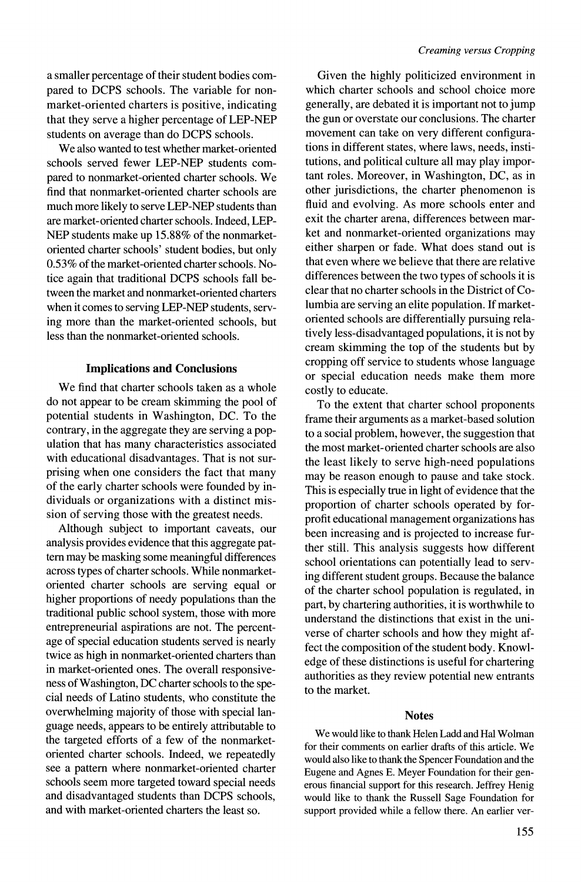a smaller percentage of their student bodies compared to DCPS schools. The variable for nonmarket-oriented charters is positive, indicating that they serve a higher percentage of LEP-NEP students on average than do DCPS schools.

We also wanted to test whether market-oriented schools served fewer LEP-NEP students compared to nonmarket-oriented charter schools. We find that nonmarket-oriented charter schools are much more likely to serve LEP-NEP students than are market-oriented charter schools. Indeed, LEP-NEP students make up 15.88% of the nonmarketoriented charter schools' student bodies, but only 0.53% of the market-oriented charter schools. Notice again that traditional DCPS schools fall between the market and nonmarket-oriented charters when it comes to serving LEP-NEP students, serving more than the market-oriented schools, but less than the nonmarket-oriented schools.

#### **Implications and Conclusions**

We find that charter schools taken as a whole do not appear to be cream skimming the pool of potential students in Washington, DC. To the contrary, in the aggregate they are serving a population that has many characteristics associated with educational disadvantages. That is not surprising when one considers the fact that many of the early charter schools were founded by individuals or organizations with a distinct mission of serving those with the greatest needs.

Although subject to important caveats, our analysis provides evidence that this aggregate pattern may be masking some meaningful differences across types of charter schools. While nonmarketoriented charter schools are serving equal or higher proportions of needy populations than the traditional public school system, those with more entrepreneurial aspirations are not. The percentage of special education students served is nearly twice as high in nonmarket-oriented charters than in market-oriented ones. The overall responsiveness of Washington, DC charter schools to the special needs of Latino students, who constitute the overwhelming majority of those with special language needs, appears to be entirely attributable to the targeted efforts of a few of the nonmarketoriented charter schools. Indeed, we repeatedly see a pattern where nonmarket-oriented charter schools seem more targeted toward special needs and disadvantaged students than DCPS schools, and with market-oriented charters the least so.

Given the highly politicized environment in which charter schools and school choice more generally, are debated it is important not to jump the gun or overstate our conclusions. The charter movement can take on very different configurations in different states, where laws, needs, institutions, and political culture all may play important roles. Moreover, in Washington, DC, as in other jurisdictions, the charter phenomenon is fluid and evolving. As more schools enter and exit the charter arena, differences between market and nonmarket-oriented organizations may either sharpen or fade. What does stand out is that even where we believe that there are relative differences between the two types of schools it is clear that no charter schools in the District of Columbia are serving an elite population. If marketoriented schools are differentially pursuing relatively less-disadvantaged populations, it is not by cream skimming the top of the students but by cropping off service to students whose language or special education needs make them more costly to educate.

To the extent that charter school proponents frame their arguments as a market-based solution to a social problem, however, the suggestion that the most market-oriented charter schools are also the least likely to serve high-need populations may be reason enough to pause and take stock. This is especially true in light of evidence that the proportion of charter schools operated by forprofit educational management organizations has been increasing and is projected to increase further still. This analysis suggests how different school orientations can potentially lead to serving different student groups. Because the balance of the charter school population is regulated, in part, by chartering authorities, it is worthwhile to understand the distinctions that exist in the universe of charter schools and how they might affect the composition of the student body. Knowledge of these distinctions is useful for chartering authorities as they review potential new entrants to the market.

#### **Notes**

We would like to thank Helen Ladd and Hal Wolman for their comments on earlier drafts of this article. We would also like to thank the Spencer Foundation and the Eugene and Agnes E. Meyer Foundation for their generous financial support for this research. Jeffrey Henig would like to thank the Russell Sage Foundation for support provided while a fellow there. An earlier ver-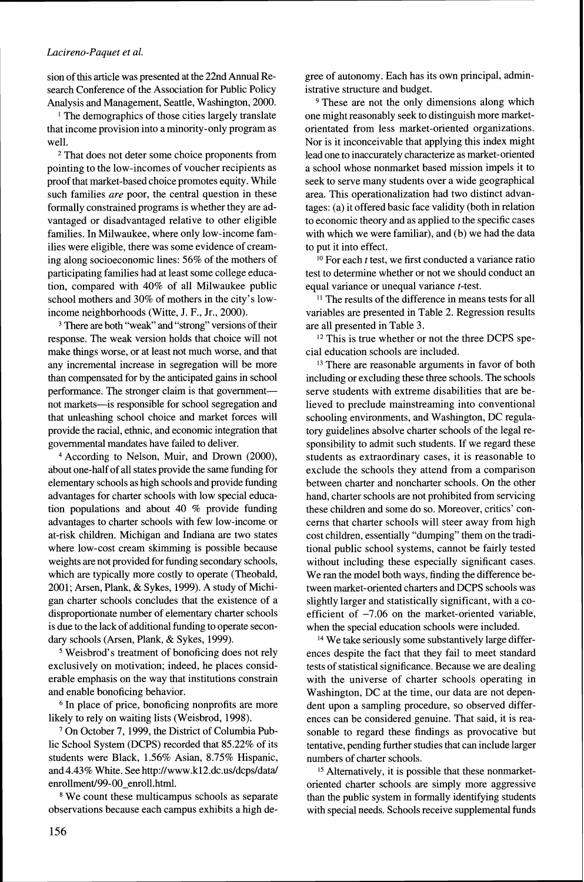sion of this article was presented at the 22nd Annual Research Conference of the Association for Public Policy Analysis and Management, Seattle, Washington, 2000.

 $<sup>1</sup>$  The demographics of those cities largely translate</sup> that income provision into a minority-only program as well.

<sup>2</sup> That does not deter some choice proponents from pointing to the low-incomes of voucher recipients as proof that market-based choice promotes equity. While such families *are* poor, the central question in these formally constrained programs is whether they are advantaged or disadvantaged relative to other eligible families. In Milwaukee, where only low-income families were eligible, there was some evidence of creaming along socioeconomic lines: 56% of the mothers of participating families had at least some college education, compared with 40% of all Milwaukee public school mothers and 30% of mothers in the city's lowincome neighborhoods (Witte, J. F., Jr., 2000).

<sup>3</sup> There are both "weak" and "strong" versions of their response. The weak version holds that choice will not make things worse, or at least not much worse, and that any incremental increase in segregation will be more than compensated for by the anticipated gains in school performance. The stronger claim is that governmentnot markets-is responsible for school segregation and that unleashing school choice and market forces will provide the racial, ethnic, and economic integration that governmental mandates have failed to deliver.

According to Nelson, Muir, and Drown (2000), about one-half of all states provide the same funding for elementary schools as high schools and provide funding advantages for charter schools with low special education populations and about 40 % provide funding advantages to charter schools with few low-income or at-risk children. Michigan and Indiana are two states where low-cost cream skimming is possible because weights are not provided for funding secondary schools, which are typically more costly to operate (Theobald, 2001; Arsen, Plank, & Sykes, 1999). A study of Michigan charter schools concludes that the existence of a disproportionate number of elementary charter schools is due to the lack of additional funding to operate secondary schools (Arsen, Plank, & Sykes, 1999).

Weisbrod's treatment of bonoficing does not rely exclusively on motivation; indeed, he places considerable emphasis on the way that institutions constrain and enable bonoficing behavior.

<sup>6</sup> In place of price, bonoficing nonprofits are more likely to rely on waiting lists (Weisbrod, 1998).

<sup>7</sup> On October 7, 1999, the District of Columbia Public School System (DCPS) recorded that 85.22% of its students were Black, 1.56% Asian, 8.75% Hispanic, and 4.43% White. See http://www.k12.dc.us/dcps/data/ enrollment/99-00\_enroll.html.

We count these multicampus schools as separate observations because each campus exhibits a high de-

gree of autonomy. Each has its own principal, administrative structure and budget.

<sup>9</sup> These are not the only dimensions along which one might reasonably seek to distinguish more marketorientated from less market-oriented organizations. Nor is it inconceivable that applying this index might lead one to inaccurately characterize as market-oriented a school whose nonmarket based mission impels it to seek to serve many students over a wide geographical area. This operationalization had two distinct advantages: (a) it offered basic face validity (both in relation to economic theory and as applied to the specific cases with which we were familiar), and (b) we had the data to put it into effect.

<sup>10</sup> For each *t* test, we first conducted a variance ratio test to determine whether or not we should conduct an equal variance or unequal variance *t*-test.

<sup>11</sup> The results of the difference in means tests for all variables are presented in Table 2. Regression results are all presented in Table 3.

<sup>12</sup> This is true whether or not the three DCPS special education schools are included.

**l3** There are reasonable arguments in favor of both including or excluding these three schools. The schools serve students with extreme disabilities that are believed to preclude mainstreaming into conventional schooling environments, and Washington, DC regulatory guidelines absolve charter schools of the legal responsibility to admit such students. If we regard these students as extraordinary cases, it is reasonable to exclude the schools they attend from a comparison between charter and noncharter schools. On the other hand, charter schools are not prohibited from servicing these children and some do so. Moreover, critics' concerns that charter schools will steer away from high cost children, essentially "dumping" them on the traditional public school systems, cannot be fairly tested without including these especially significant cases. We ran the model both ways, finding the difference between market-oriented charters and DCPS schools was slightly larger and statistically significant, with a coefficient of  $-7.06$  on the market-oriented variable, when the special education schools were included.

<sup>14</sup> We take seriously some substantively large differences despite the fact that they fail to meet standard tests of statistical significance. Because we are dealing with the universe of charter schools operating in Washington, DC at the time, our data are not dependent upon a sampling procedure, so observed differences can be considered genuine. That said, it is reasonable to regard these findings as provocative but tentative, pending further studies that can include larger numbers of charter schools.

**l5** Alternatively, it is possible that these nonmarketoriented charter schools are simply more aggressive than the public system in formally identifying students with special needs. Schools receive supplemental funds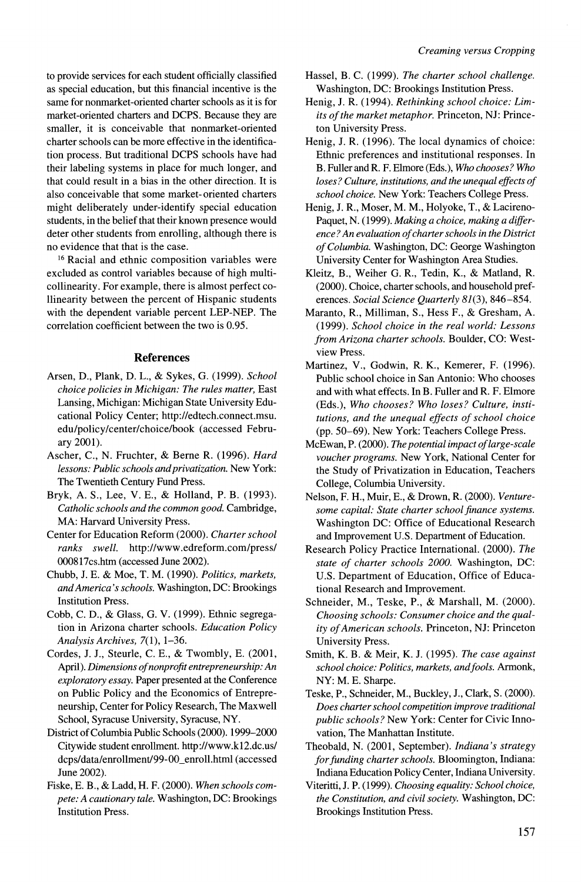to provide services for each student officially classified as special education, but this financial incentive is the same for nonmarket-oriented charter schools as it is for market-oriented charters and DCPS. Because they are smaller, it is conceivable that nonmarket-oriented charter schools can be more effective in the identification process. But traditional DCPS schools have had their labeling systems in place for much longer, and that could result in a bias in the other direction. It is also conceivable that some market- oriented charters might deliberately under-identify special education students, in the belief that their known presence would deter other students from enrolling, although there is no evidence that that is the case.

**l6** Racial and ethnic composition variables were excluded as control variables because of high multicollinearity. For example, there is almost perfect collinearity between the percent of Hispanic students with the dependent variable percent LEP-NEP. The correlation coefficient between the two is 0.95.

#### **References**

- Arsen, D., Plank, D. L., & Sykes, G. (1999). *School choice policies in Michigan: The rules matter,* East Lansing, Michigan: Michigan State University Educational Policy Center; http://edtech.connect.msu. edu/policy/center/choice/book (accessed February 2001).
- Ascher, C., N. Fruchter, & Berne R. (1996). *Hard lessons: Public schools andprivatization.* New York: The Twentieth Century Fund Press.
- Bryk, A. S., Lee, V. E., & Holland, P. B. (1993). *Catholic schools and the common good.* Cambridge, MA: Harvard University Press.
- Center for Education Reform (2000). *Charter school ranks swell.* http://www.edreform.com/press/ 000817cs.htm (accessed June 2002).
- Chubb, J. E. & Moe, T. M. (1990). *Politics, markets, andAmerica's schools.* Washington, DC: Brookings Institution Press.
- Cobb, C. D., & Glass, G. V. (1999). Ethnic segregation in Arizona charter schools. *Education Policy Analysis Archives,* 7(1), 1-36.
- Cordes, J. J., Steurle, C. E., & Twombly, E. (2001, April). *Dimensions of nonprofit entrepreneurship: An exploratory essay.* Paper presented at the Conference on Public Policy and the Economics of Entrepreneurship, Center for Policy Research, The Maxwell School, Syracuse University, Syracuse, NY.
- District of Columbia Public Schools (2000). 1999-2000 Citywide student enrollment. http://www.k12.dc.us/ **dcps/data/enrollment/99-00-enroll.htm1**(accessed June 2002).
- Fiske, E. B., & Ladd, H. F. (2000). *When schools compete: A cautionary tale.* Washington, DC: Brookings Institution Press.
- Hassel, B. C. (1999). *The charter school challenge*. Washington, DC: Brookings Institution Press.
- Henig, J. R. (1994). *Rethinking school choice: Lim*its of the market metaphor. Princeton, NJ: Princeton University Press.
- Henig, J. R. (1996). The local dynamics of choice: Ethnic preferences and institutional responses. In B. Fuller and R. F. Elmore (Eds.), *Who chooses? Who loses? Culture, institutions, and the unequal effects of school cholce.* New York: Teachers College Press.
- Henig, J. R., Moser, M. M., Holyoke, T., & Lacireno-Paquet, N. (1999). *Making a choice, making a difference? An evaluation of charter schools in the District of Columbia.* Washington, DC: George Washington University Center for Washington Area Studies.
- Kleitz, B., Weiher G. R., Tedin, K., & Matland, R. (2000). Choice, charter schools, and household preferences. *Social Science Quarterly* 81(3), 846-854.
- Maranto, R., Milliman, S., Hess F., & Gresham, A. (1999). *School choice in the real world: Lessons from Arizona charter schools.* Boulder, CO: Westview Press.
- Martinez, V., Godwin, R. K., Kemerer, F. (1996). Public school choice in San Antonio: Who chooses and with what effects. In B. Fuller and R. F.Elmore (Eds.), *Who chooses? Who loses? Culture, institutions, and the unequal effects of school choice*  (pp. 50-69). New York: Teachers College Press.
- McEwan, P. (2000). *The potential impact of large-scale voucher programs.* New York, National Center for the Study of Privatization in Education, Teachers College, Columbia University.
- Nelson, F. H., Muir, E., & Drown, R. (2000). *Venturesome capital: State charter school finance systems.*  Washington DC: Office of Educational Research and Improvement U.S. Department of Education.
- Research Policy Practice International. (2000). *The state of charter schools 2000.* Washington, DC: U.S. Department of Education, Office of Educational Research and Improvement.
- Schneider, M., Teske, P., & Marshall, M. (2000). *Choosing schools: Consumer choice and the quality of American schools.* Princeton, NJ: Princeton University Press.
- Smith, K. B. & Meir, K. J. (1995). *The case against school choice: Politics, markets, andfools.* Armonk, NY: M. E. Sharpe.
- Teske, P., Schneider, M., Buckley, J., Clark, S. (2000). *Does charter school competition improve traditional public schools?* New York: Center for Civic Innovation, The Manhattan Institute.
- Theobald, N. (2001, September). *Indiana's strategy for funding charter schools.* Bloomington, Indiana: Indiana Education Policy Center, Indiana University.
- Viteritti, J. P. (1999). *Choosing equality: School choice, the Constitution, and civil society.* Washington, DC: Brookings Institution Press.